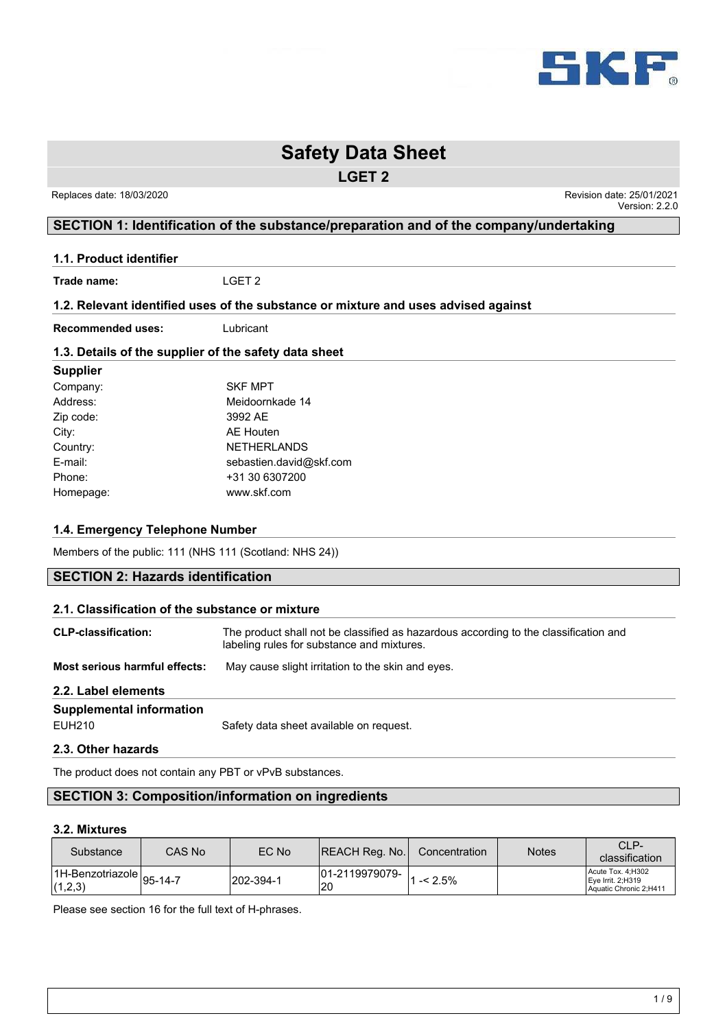

**LGET 2**

 Replaces date: 18/03/2020 Revision date: 25/01/2021 Version: 2.2.0

## **SECTION 1: Identification of the substance/preparation and of the company/undertaking**

**1.1. Product identifier**

**Trade name:** LGET 2

#### **1.2. Relevant identified uses of the substance or mixture and uses advised against**

**Recommended uses:** Lubricant

### **1.3. Details of the supplier of the safety data sheet**

| <b>Supplier</b> |                         |
|-----------------|-------------------------|
| Company:        | <b>SKF MPT</b>          |
| Address:        | Meidoornkade 14         |
| Zip code:       | 3992 AE                 |
| City:           | AE Houten               |
| Country:        | <b>NETHERLANDS</b>      |
| E-mail:         | sebastien.david@skf.com |
| Phone:          | +31 30 6307200          |
| Homepage:       | www.skf.com             |

## **1.4. Emergency Telephone Number**

Members of the public: 111 (NHS 111 (Scotland: NHS 24))

## **SECTION 2: Hazards identification**

| 2.1. Classification of the substance or mixture |                                                                                                                                    |  |  |  |
|-------------------------------------------------|------------------------------------------------------------------------------------------------------------------------------------|--|--|--|
| <b>CLP-classification:</b>                      | The product shall not be classified as hazardous according to the classification and<br>labeling rules for substance and mixtures. |  |  |  |
| Most serious harmful effects:                   | May cause slight irritation to the skin and eyes.                                                                                  |  |  |  |
| 2.2. Label elements                             |                                                                                                                                    |  |  |  |
| <b>Supplemental information</b>                 |                                                                                                                                    |  |  |  |
| <b>FUH210</b>                                   | Safety data sheet available on request.                                                                                            |  |  |  |
| 2.3. Other hazards                              |                                                                                                                                    |  |  |  |

The product does not contain any PBT or vPvB substances.

## **SECTION 3: Composition/information on ingredients**

#### **3.2. Mixtures**

| Substance                                 | CAS No | EC No     | REACH Reg. No. | Concentration                       | <b>Notes</b> | CLP-<br>classification                                              |
|-------------------------------------------|--------|-----------|----------------|-------------------------------------|--------------|---------------------------------------------------------------------|
| $H$ -Benzotriazole $ 95-14-7 $<br>(1,2,3) |        | 202-394-1 | 20             | $ 01-2119979079 -  _{1 - < 2.5\%} $ |              | Acute Tox. 4:H302<br>$Eve$ Irrit. 2; H319<br>Aquatic Chronic 2;H411 |

Please see section 16 for the full text of H-phrases.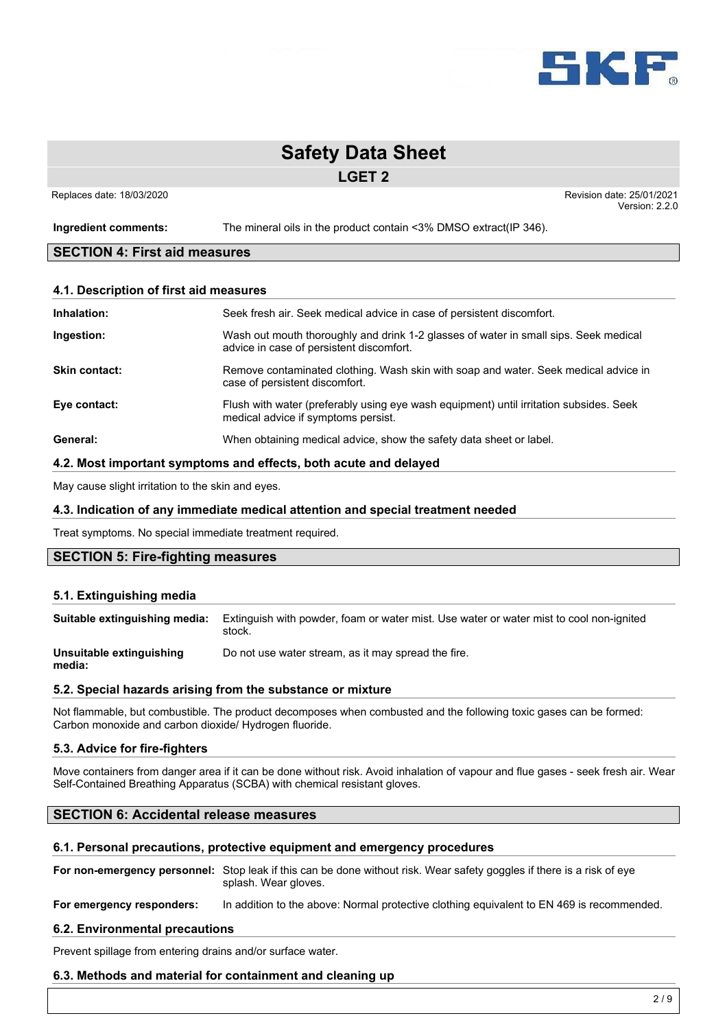

**LGET 2**

Replaces date: 18/03/2020 **Replaces** date: 25/01/2021 Version: 2.2.0

**Ingredient comments:** The mineral oils in the product contain <3% DMSO extract(IP 346).

## **SECTION 4: First aid measures**

#### **4.1. Description of first aid measures**

| Inhalation:          | Seek fresh air. Seek medical advice in case of persistent discomfort.                                                            |
|----------------------|----------------------------------------------------------------------------------------------------------------------------------|
| Ingestion:           | Wash out mouth thoroughly and drink 1-2 glasses of water in small sips. Seek medical<br>advice in case of persistent discomfort. |
| <b>Skin contact:</b> | Remove contaminated clothing. Wash skin with soap and water. Seek medical advice in<br>case of persistent discomfort.            |
| Eye contact:         | Flush with water (preferably using eye wash equipment) until irritation subsides. Seek<br>medical advice if symptoms persist.    |
| General:             | When obtaining medical advice, show the safety data sheet or label.                                                              |

#### **4.2. Most important symptoms and effects, both acute and delayed**

May cause slight irritation to the skin and eyes.

#### **4.3. Indication of any immediate medical attention and special treatment needed**

Treat symptoms. No special immediate treatment required.

## **SECTION 5: Fire-fighting measures**

#### **5.1. Extinguishing media**

| Suitable extinguishing media:      | Extinguish with powder, foam or water mist. Use water or water mist to cool non-ignited<br>stock. |
|------------------------------------|---------------------------------------------------------------------------------------------------|
| Unsuitable extinguishing<br>media: | Do not use water stream, as it may spread the fire.                                               |

#### **5.2. Special hazards arising from the substance or mixture**

Not flammable, but combustible. The product decomposes when combusted and the following toxic gases can be formed: Carbon monoxide and carbon dioxide/ Hydrogen fluoride.

#### **5.3. Advice for fire-fighters**

Move containers from danger area if it can be done without risk. Avoid inhalation of vapour and flue gases - seek fresh air. Wear Self-Contained Breathing Apparatus (SCBA) with chemical resistant gloves.

#### **SECTION 6: Accidental release measures**

#### **6.1. Personal precautions, protective equipment and emergency procedures**

**For non-emergency personnel:** Stop leak if this can be done without risk. Wear safety goggles if there is a risk of eye splash. Wear gloves.

**For emergency responders:** In addition to the above: Normal protective clothing equivalent to EN 469 is recommended.

#### **6.2. Environmental precautions**

Prevent spillage from entering drains and/or surface water.

#### **6.3. Methods and material for containment and cleaning up**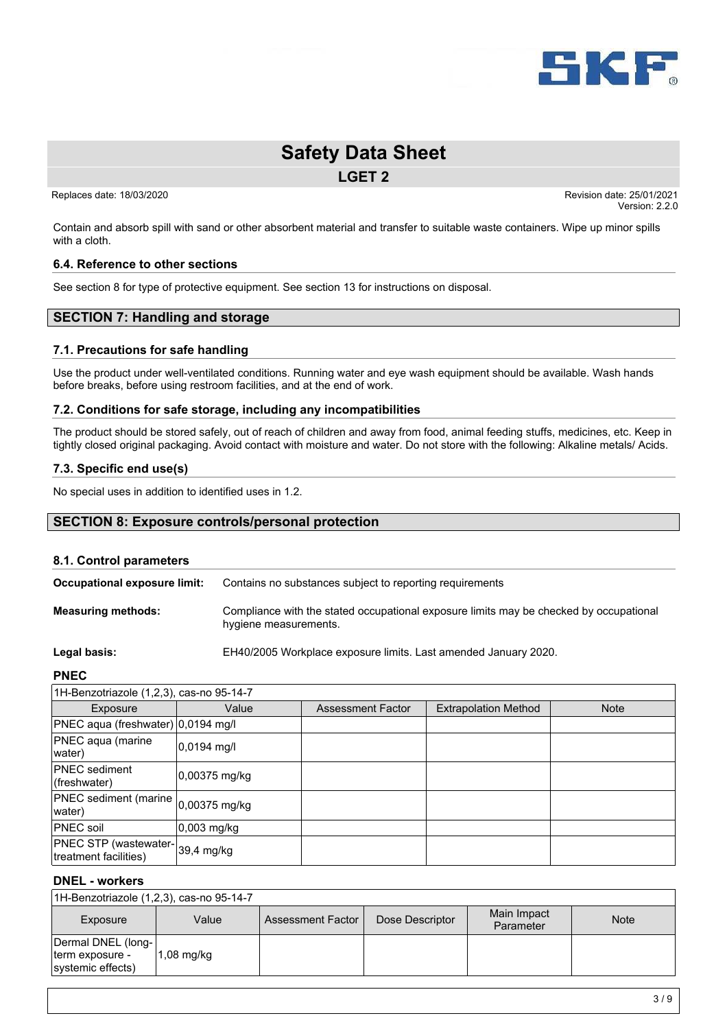

**LGET 2**

Replaces date: 18/03/2020 **Replaces** date: 25/01/2021

Version: 2.2.0

Contain and absorb spill with sand or other absorbent material and transfer to suitable waste containers. Wipe up minor spills with a cloth.

#### **6.4. Reference to other sections**

See section 8 for type of protective equipment. See section 13 for instructions on disposal.

## **SECTION 7: Handling and storage**

#### **7.1. Precautions for safe handling**

Use the product under well-ventilated conditions. Running water and eye wash equipment should be available. Wash hands before breaks, before using restroom facilities, and at the end of work.

#### **7.2. Conditions for safe storage, including any incompatibilities**

The product should be stored safely, out of reach of children and away from food, animal feeding stuffs, medicines, etc. Keep in tightly closed original packaging. Avoid contact with moisture and water. Do not store with the following: Alkaline metals/ Acids.

#### **7.3. Specific end use(s)**

No special uses in addition to identified uses in 1.2.

#### **SECTION 8: Exposure controls/personal protection**

#### **8.1. Control parameters**

| Occupational exposure limit: | Contains no substances subject to reporting requirements                                                        |
|------------------------------|-----------------------------------------------------------------------------------------------------------------|
| <b>Measuring methods:</b>    | Compliance with the stated occupational exposure limits may be checked by occupational<br>hygiene measurements. |

**Legal basis:** EH40/2005 Workplace exposure limits. Last amended January 2020.

#### **PNEC**

| 1H-Benzotriazole (1,2,3), cas-no 95-14-7                 |                        |                          |                             |             |
|----------------------------------------------------------|------------------------|--------------------------|-----------------------------|-------------|
| Exposure                                                 | Value                  | <b>Assessment Factor</b> | <b>Extrapolation Method</b> | <b>Note</b> |
| PNEC aqua (freshwater) 0,0194 mg/l                       |                        |                          |                             |             |
| PNEC aqua (marine<br>water)                              | $ 0,0194 \text{ mg}/I$ |                          |                             |             |
| <b>PNEC</b> sediment<br>(freshwater)                     | $0,00375$ mg/kg        |                          |                             |             |
| PNEC sediment (marine 0,00375 mg/kg<br>water)            |                        |                          |                             |             |
| <b>PNEC</b> soil                                         | 0,003 mg/kg            |                          |                             |             |
| PNEC STP (wastewater-39,4 mg/kg<br>treatment facilities) |                        |                          |                             |             |

#### **DNEL - workers**

| 1H-Benzotriazole (1,2,3), cas-no 95-14-7                   |              |                     |                 |                          |             |
|------------------------------------------------------------|--------------|---------------------|-----------------|--------------------------|-------------|
| Exposure                                                   | Value        | Assessment Factor I | Dose Descriptor | Main Impact<br>Parameter | <b>Note</b> |
| Dermal DNEL (long-<br>term exposure -<br>systemic effects) | $1.08$ mg/kg |                     |                 |                          |             |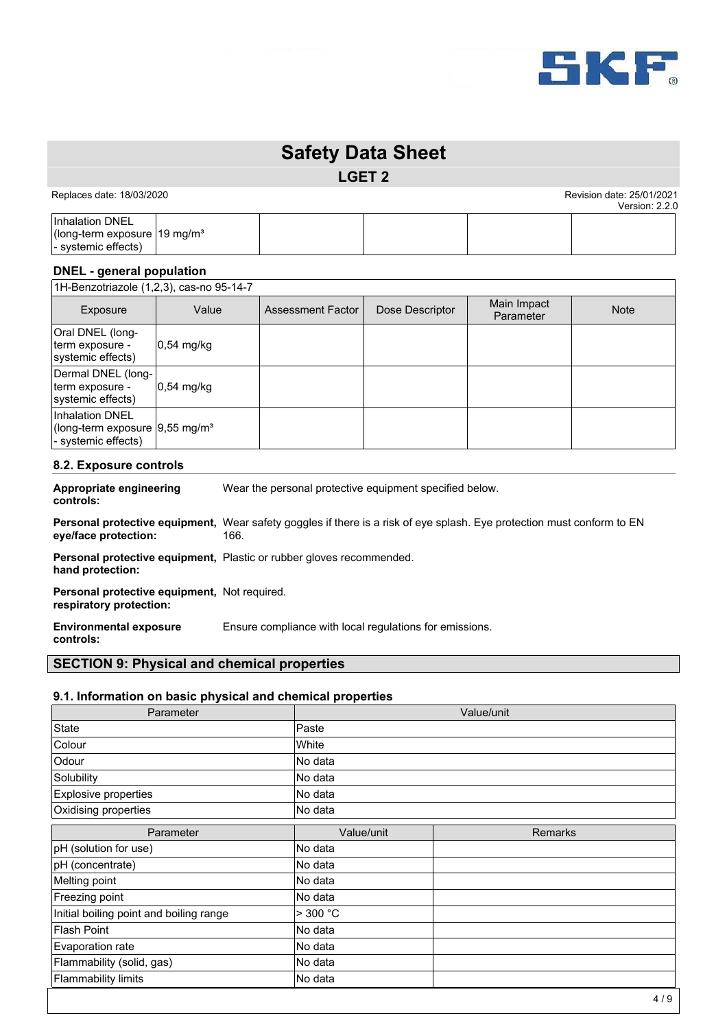

**LGET 2**

Replaces date: 18/03/2020 **Replaces** date: 25/01/2021

Version: 2.2.0 Inhalation DNEL (long-term exposure 19 mg/m³ - systemic effects)

## **DNEL - general population**

1H-Benzotriazole (1,2,3), cas-no 95-14-7

| Exposure                                                                             | Value       | Assessment Factor | Dose Descriptor | Main Impact<br>Parameter | <b>Note</b> |
|--------------------------------------------------------------------------------------|-------------|-------------------|-----------------|--------------------------|-------------|
| Oral DNEL (long-<br>term exposure -<br>systemic effects)                             | 0,54 mg/kg  |                   |                 |                          |             |
| Dermal DNEL (long-<br>term exposure -<br>systemic effects)                           | 10.54 mg/kg |                   |                 |                          |             |
| Inhalation DNEL<br>(long-term exposure 9,55 mg/m <sup>3</sup><br>- systemic effects) |             |                   |                 |                          |             |

#### **8.2. Exposure controls**

**Appropriate engineering controls:** Wear the personal protective equipment specified below.

**Personal protective equipment,** Wear safety goggles if there is a risk of eye splash. Eye protection must conform to EN **eye/face protection:** 166.

Personal protective equipment, Plastic or rubber gloves recommended. **hand protection:**

**Personal protective equipment,** Not required. **respiratory protection:**

**Environmental exposure** Ensure compliance with local regulations for emissions.

**controls:**

### **SECTION 9: Physical and chemical properties**

#### **9.1. Information on basic physical and chemical properties**

| Parameter                               | Value/unit |                |  |
|-----------------------------------------|------------|----------------|--|
| State                                   | Paste      |                |  |
| Colour                                  | White      |                |  |
| Odour                                   | No data    |                |  |
| Solubility                              | lNo data   |                |  |
| Explosive properties                    | No data    |                |  |
| Oxidising properties                    | No data    |                |  |
| Parameter                               | Value/unit | <b>Remarks</b> |  |
| pH (solution for use)                   | No data    |                |  |
| pH (concentrate)                        | No data    |                |  |
| Melting point                           | No data    |                |  |
| Freezing point                          | No data    |                |  |
| Initial boiling point and boiling range | $>$ 300 °C |                |  |
| <b>Flash Point</b>                      | No data    |                |  |
| Evaporation rate                        | No data    |                |  |
| Flammability (solid, gas)               | No data    |                |  |
| Flammability limits                     | No data    |                |  |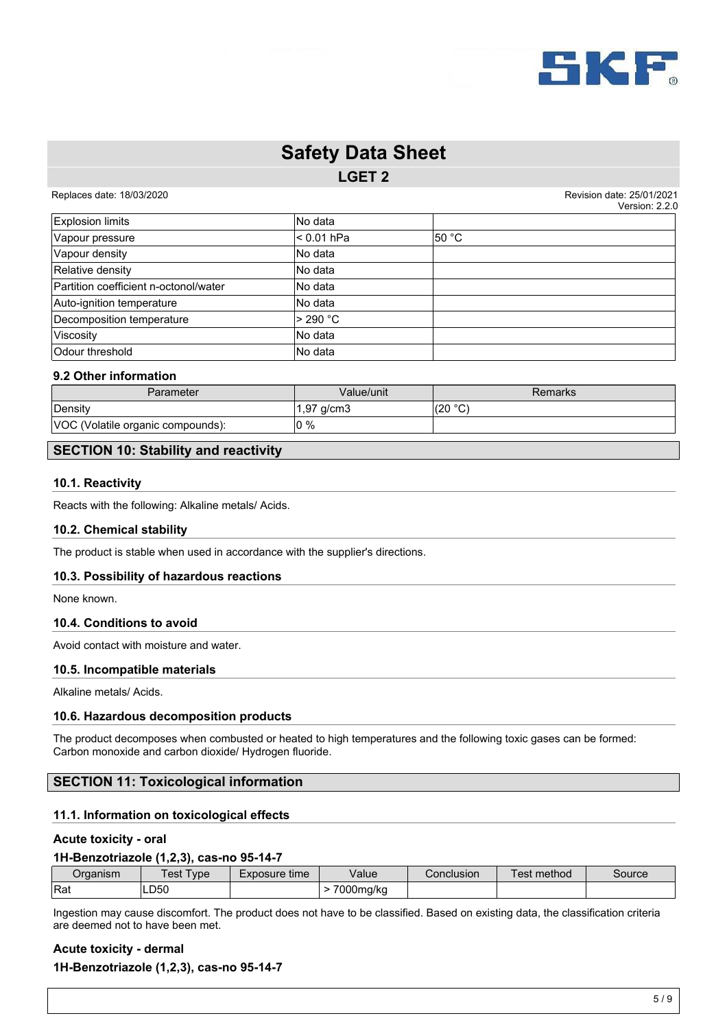

**LGET 2**

Replaces date: 18/03/2020 **Replaces** date: 25/01/2021

Version: 2.2.0

|                                       |             | <b>VEISIUII. Z.Z.</b> U |
|---------------------------------------|-------------|-------------------------|
| <b>Explosion limits</b>               | lNo data    |                         |
| Vapour pressure                       | l< 0.01 hPa | l50 °C                  |
| Vapour density                        | lNo data    |                         |
| Relative density                      | lNo data    |                         |
| Partition coefficient n-octonol/water | lNo data    |                         |
| Auto-ignition temperature             | lNo data    |                         |
| Decomposition temperature             | $>$ 290 °C  |                         |
| Viscosity                             | No data     |                         |
| Odour threshold                       | No data     |                         |

#### **9.2 Other information**

| Parameter                         | Value/unit | Remarks        |
|-----------------------------------|------------|----------------|
| Density                           | 1,97 g/cm3 | (20 °C)<br>َ ب |
| VOC (Volatile organic compounds): | $10\%$     |                |

## **SECTION 10: Stability and reactivity**

#### **10.1. Reactivity**

Reacts with the following: Alkaline metals/ Acids.

#### **10.2. Chemical stability**

The product is stable when used in accordance with the supplier's directions.

#### **10.3. Possibility of hazardous reactions**

None known.

#### **10.4. Conditions to avoid**

Avoid contact with moisture and water.

#### **10.5. Incompatible materials**

Alkaline metals/ Acids.

#### **10.6. Hazardous decomposition products**

The product decomposes when combusted or heated to high temperatures and the following toxic gases can be formed: Carbon monoxide and carbon dioxide/ Hydrogen fluoride.

#### **SECTION 11: Toxicological information**

#### **11.1. Information on toxicological effects**

#### **Acute toxicity - oral**

#### **1H-Benzotriazole (1,2,3), cas-no 95-14-7**

| Organism | Γest<br><b>ype</b> | Exposure time | Value     | Conclusion | method<br>est | Source |
|----------|--------------------|---------------|-----------|------------|---------------|--------|
| Rat      | LD50               |               | 7000mg/kg |            |               |        |

Ingestion may cause discomfort. The product does not have to be classified. Based on existing data, the classification criteria are deemed not to have been met.

## **Acute toxicity - dermal 1H-Benzotriazole (1,2,3), cas-no 95-14-7**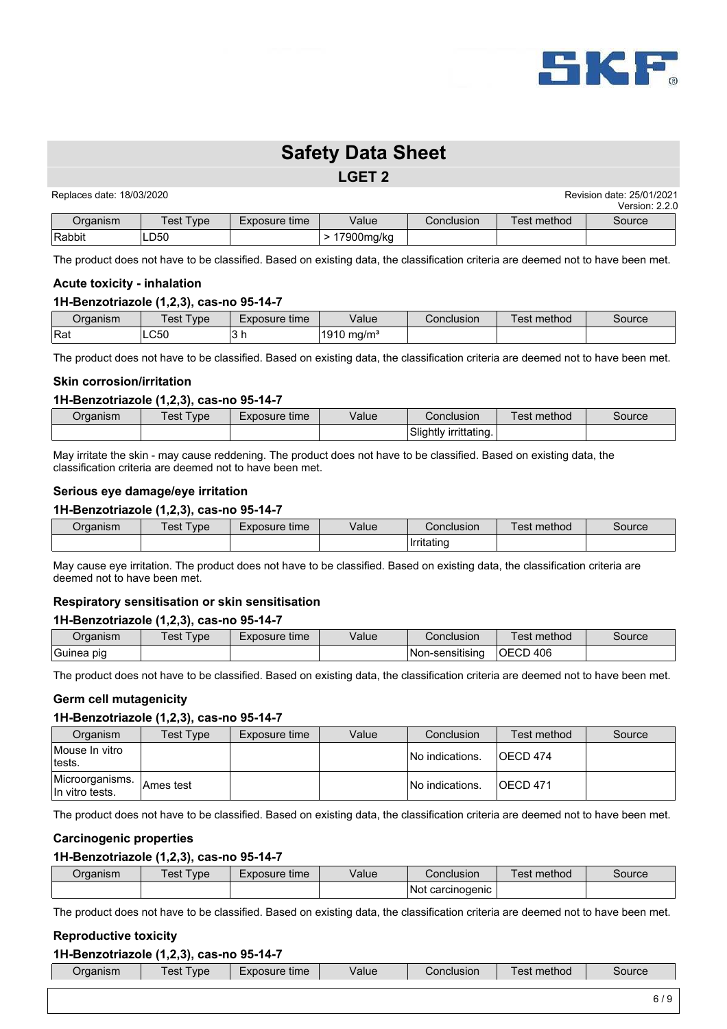

#### **LGET 2**

| Replaces date: 18/03/2020 |                  | Revision date: 25/01/2021 |              |            |             |                |
|---------------------------|------------------|---------------------------|--------------|------------|-------------|----------------|
|                           |                  |                           |              |            |             | Version: 2.2.0 |
| Organism                  | <b>Test Type</b> | Exposure time             | Value        | Conclusion | Test method | Source         |
| Rabbit                    | _D50             |                           | ∙ 17900mq/kq |            |             |                |

The product does not have to be classified. Based on existing data, the classification criteria are deemed not to have been met.

#### **Acute toxicity - inhalation**

#### **1H-Benzotriazole (1,2,3), cas-no 95-14-7**

| ⊃rɑanısm | 'est<br>'ype | time<br>Exposure | Value      | Conclusion | Fest method | Source |
|----------|--------------|------------------|------------|------------|-------------|--------|
| Rat      | LC50         | <b>UII</b>       | 1910 mg/mª |            |             |        |

The product does not have to be classified. Based on existing data, the classification criteria are deemed not to have been met.

#### **Skin corrosion/irritation**

#### **1H-Benzotriazole (1,2,3), cas-no 95-14-7**

| Organism | est <sup>.</sup><br>Type: | Exposure time | Value | Conclusion            | method<br>ēst | Source |
|----------|---------------------------|---------------|-------|-----------------------|---------------|--------|
|          |                           |               |       | Slightly irrittating. |               |        |

May irritate the skin - may cause reddening. The product does not have to be classified. Based on existing data, the classification criteria are deemed not to have been met.

#### **Serious eye damage/eye irritation**

#### **1H-Benzotriazole (1,2,3), cas-no 95-14-7**

| ⊃rɑanısm | 'est<br><b>vpe</b> | /alue<br>time<br>=xposure |  | Conclusion               | method<br>est | source |
|----------|--------------------|---------------------------|--|--------------------------|---------------|--------|
|          |                    |                           |  | $\cdot$ .<br>Ilrritatino |               |        |

May cause eye irritation. The product does not have to be classified. Based on existing data, the classification criteria are deemed not to have been met.

#### **Respiratory sensitisation or skin sensitisation**

#### **1H-Benzotriazole (1,2,3), cas-no 95-14-7**

| Organism   | Test Type | Exposure time | Value | Conclusion       | Test method      | source |
|------------|-----------|---------------|-------|------------------|------------------|--------|
| Guinea pig |           |               |       | INon-sensitisina | <b>IOECD 406</b> |        |

The product does not have to be classified. Based on existing data, the classification criteria are deemed not to have been met.

#### **Germ cell mutagenicity**

#### **1H-Benzotriazole (1,2,3), cas-no 95-14-7**

| Organism                           | Test Type | Exposure time | Value | Conclusion       | Test method | Source |
|------------------------------------|-----------|---------------|-------|------------------|-------------|--------|
| Mouse In vitro<br>tests.           |           |               |       | INo indications. | IOECD 474   |        |
| Microorganisms.<br>In vitro tests. | Ames test |               |       | INo indications. | IOECD 471   |        |

The product does not have to be classified. Based on existing data, the classification criteria are deemed not to have been met.

#### **Carcinogenic properties**

#### **1H-Benzotriazole (1,2,3), cas-no 95-14-7**

| Organism | $Test \top$<br>vpe | Exposure time | Value | Conclusion       | method<br>⊺est | Source |
|----------|--------------------|---------------|-------|------------------|----------------|--------|
|          |                    |               |       | Not carcinogenic |                |        |

The product does not have to be classified. Based on existing data, the classification criteria are deemed not to have been met.

### **Reproductive toxicity**

## **1H-Benzotriazole (1,2,3), cas-no 95-14-7**

| nishi | <b>vpe</b><br>. . | time<br><b>101110</b><br>usuit<br>–^' | Valuc | າclusion<br>`nnr | method<br><b>ESI</b> | 'ource |
|-------|-------------------|---------------------------------------|-------|------------------|----------------------|--------|
|       |                   |                                       |       |                  |                      |        |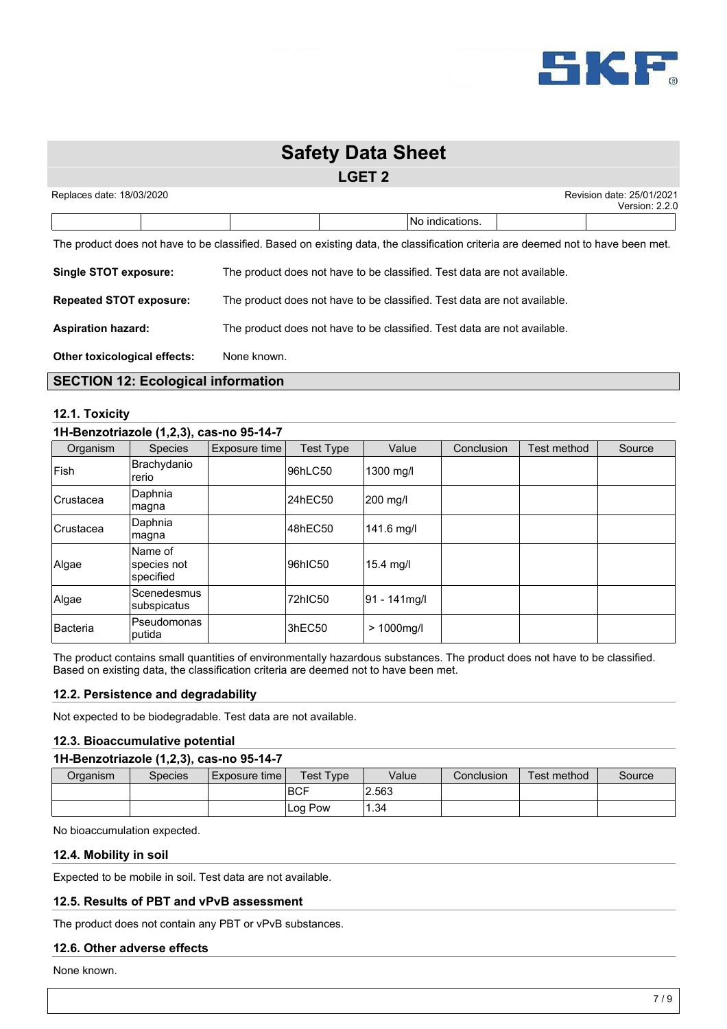

## **LGET 2**

| Replaces date: 18/03/2020 |  |  |  | Revision date: 25/01/2021<br>Version: 2.2.0 |  |
|---------------------------|--|--|--|---------------------------------------------|--|
|                           |  |  |  | INo indications.                            |  |

The product does not have to be classified. Based on existing data, the classification criteria are deemed not to have been met.

| <b>Single STOT exposure:</b>        | The product does not have to be classified. Test data are not available. |
|-------------------------------------|--------------------------------------------------------------------------|
| <b>Repeated STOT exposure:</b>      | The product does not have to be classified. Test data are not available. |
| <b>Aspiration hazard:</b>           | The product does not have to be classified. Test data are not available. |
| <b>Other toxicological effects:</b> | None known.                                                              |

## **SECTION 12: Ecological information**

#### **12.1. Toxicity**

#### **1H-Benzotriazole (1,2,3), cas-no 95-14-7**

| Organism         | <b>Species</b>                      | Exposure time | Test Type | Value         | Conclusion | Test method | Source |
|------------------|-------------------------------------|---------------|-----------|---------------|------------|-------------|--------|
| Fish             | Brachydanio<br>rerio                |               | 96hLC50   | 1300 mg/l     |            |             |        |
| Crustacea        | Daphnia<br>magna                    |               | 24hEC50   | 200 mg/l      |            |             |        |
| <b>Crustacea</b> | Daphnia<br> magna                   |               | 48hEC50   | 141.6 mg/l    |            |             |        |
| Algae            | Name of<br>species not<br>specified |               | 96hIC50   | $15.4$ mg/l   |            |             |        |
| Algae            | Scenedesmus<br>subspicatus          |               | 72hIC50   | 91 - 141 mg/l |            |             |        |
| <b>Bacteria</b>  | Pseudomonas<br>putida               |               | 3hEC50    | $> 1000$ mg/l |            |             |        |

The product contains small quantities of environmentally hazardous substances. The product does not have to be classified. Based on existing data, the classification criteria are deemed not to have been met.

#### **12.2. Persistence and degradability**

Not expected to be biodegradable. Test data are not available.

#### **12.3. Bioaccumulative potential**

#### **1H-Benzotriazole (1,2,3), cas-no 95-14-7**

| Organism | Species | Exposure time | <b>Test Type</b> | Value | Conclusion | Test method | Source |
|----------|---------|---------------|------------------|-------|------------|-------------|--------|
|          |         |               | IBCF             | 2.563 |            |             |        |
|          |         |               | Pow<br>Log       | . .34 |            |             |        |

No bioaccumulation expected.

#### **12.4. Mobility in soil**

Expected to be mobile in soil. Test data are not available.

#### **12.5. Results of PBT and vPvB assessment**

The product does not contain any PBT or vPvB substances.

#### **12.6. Other adverse effects**

None known.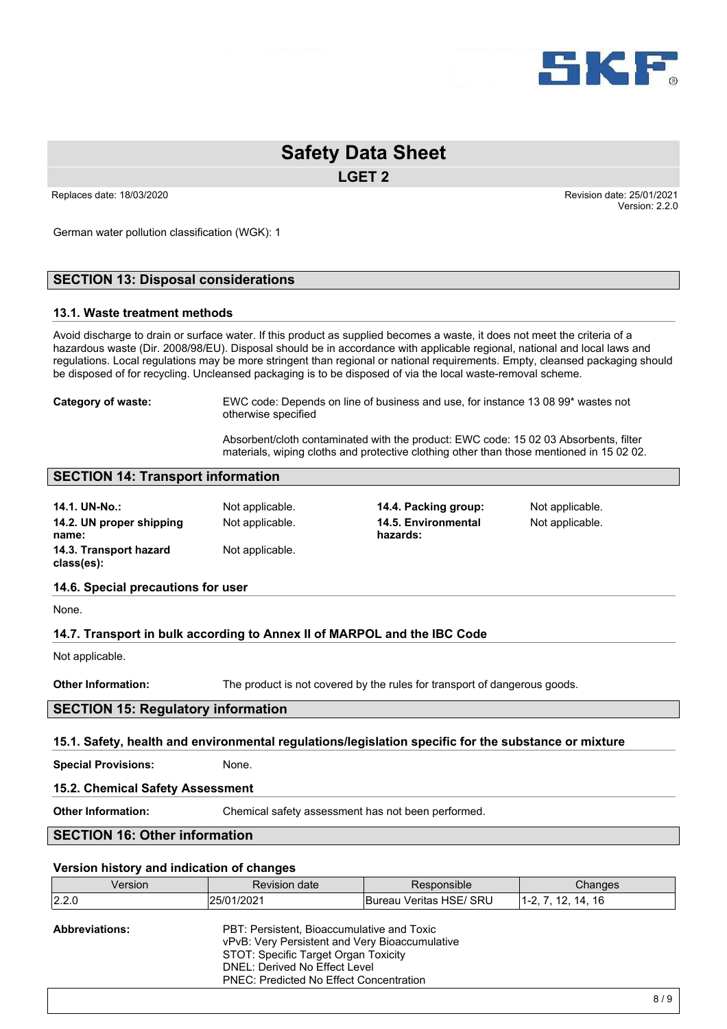

**LGET 2**

German water pollution classification (WGK): 1

### **SECTION 13: Disposal considerations**

#### **13.1. Waste treatment methods**

Avoid discharge to drain or surface water. If this product as supplied becomes a waste, it does not meet the criteria of a hazardous waste (Dir. 2008/98/EU). Disposal should be in accordance with applicable regional, national and local laws and regulations. Local regulations may be more stringent than regional or national requirements. Empty, cleansed packaging should be disposed of for recycling. Uncleansed packaging is to be disposed of via the local waste-removal scheme.

**Category of waste:** EWC code: Depends on line of business and use, for instance 13 08 99\* wastes not otherwise specified

> Absorbent/cloth contaminated with the product: EWC code: 15 02 03 Absorbents, filter materials, wiping cloths and protective clothing other than those mentioned in 15 02 02.

#### **SECTION 14: Transport information**

| 14.1. UN-No.:                                           | Not applicable. | 14.4. Packing group:                                                     | Not applicable. |  |
|---------------------------------------------------------|-----------------|--------------------------------------------------------------------------|-----------------|--|
| 14.2. UN proper shipping<br>name:                       | Not applicable. | 14.5. Environmental<br>hazards:                                          | Not applicable. |  |
| 14.3. Transport hazard<br>Not applicable.<br>class(es): |                 |                                                                          |                 |  |
| 14.6. Special precautions for user                      |                 |                                                                          |                 |  |
| None.                                                   |                 |                                                                          |                 |  |
|                                                         |                 | 14.7. Transport in bulk according to Annex II of MARPOL and the IBC Code |                 |  |
| Not applicable.                                         |                 |                                                                          |                 |  |

**Other Information:** The product is not covered by the rules for transport of dangerous goods.

#### **SECTION 15: Regulatory information**

#### **15.1. Safety, health and environmental regulations/legislation specific for the substance or mixture**

**Special Provisions:** None.

#### **15.2. Chemical Safety Assessment**

**Other Information:** Chemical safety assessment has not been performed.

## **SECTION 16: Other information**

#### **Version history and indication of changes**

| Version               | <b>Revision date</b>                                                                                                                                                                                                    | Responsible             | Changes              |
|-----------------------|-------------------------------------------------------------------------------------------------------------------------------------------------------------------------------------------------------------------------|-------------------------|----------------------|
| 2.2.0                 | 125/01/2021                                                                                                                                                                                                             | Bureau Veritas HSE/ SRU | $1-2, 7, 12, 14, 16$ |
| <b>Abbreviations:</b> | PBT: Persistent, Bioaccumulative and Toxic<br>vPvB: Very Persistent and Very Bioaccumulative<br>STOT: Specific Target Organ Toxicity<br>DNEL: Derived No Effect Level<br><b>PNEC: Predicted No Effect Concentration</b> |                         |                      |
|                       |                                                                                                                                                                                                                         |                         | 0 <sup>1</sup>       |

Replaces date: 18/03/2020 **Replaces** date: 25/01/2021 Version: 2.2.0